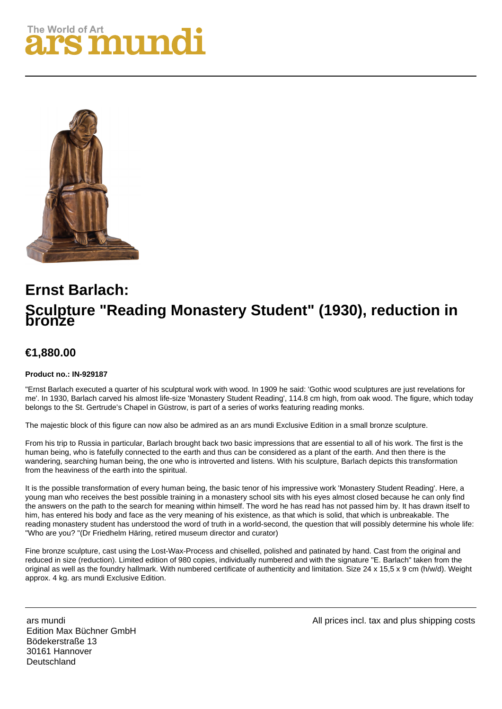## **The World of Art** S MIIN



## **Ernst Barlach: Sculpture "Reading Monastery Student" (1930), reduction in bronze**

## **€1,880.00**

## **Product no.: IN-929187**

"Ernst Barlach executed a quarter of his sculptural work with wood. In 1909 he said: 'Gothic wood sculptures are just revelations for me'. In 1930, Barlach carved his almost life-size 'Monastery Student Reading', 114.8 cm high, from oak wood. The figure, which today belongs to the St. Gertrude's Chapel in Güstrow, is part of a series of works featuring reading monks.

The majestic block of this figure can now also be admired as an ars mundi Exclusive Edition in a small bronze sculpture.

From his trip to Russia in particular, Barlach brought back two basic impressions that are essential to all of his work. The first is the human being, who is fatefully connected to the earth and thus can be considered as a plant of the earth. And then there is the wandering, searching human being, the one who is introverted and listens. With his sculpture, Barlach depicts this transformation from the heaviness of the earth into the spiritual.

It is the possible transformation of every human being, the basic tenor of his impressive work 'Monastery Student Reading'. Here, a young man who receives the best possible training in a monastery school sits with his eyes almost closed because he can only find the answers on the path to the search for meaning within himself. The word he has read has not passed him by. It has drawn itself to him, has entered his body and face as the very meaning of his existence, as that which is solid, that which is unbreakable. The reading monastery student has understood the word of truth in a world-second, the question that will possibly determine his whole life: "Who are you? "(Dr Friedhelm Häring, retired museum director and curator)

Fine bronze sculpture, cast using the Lost-Wax-Process and chiselled, polished and patinated by hand. Cast from the original and reduced in size (reduction). Limited edition of 980 copies, individually numbered and with the signature "E. Barlach" taken from the original as well as the foundry hallmark. With numbered certificate of authenticity and limitation. Size 24 x 15,5 x 9 cm (h/w/d). Weight approx. 4 kg. ars mundi Exclusive Edition.

ars mundi Edition Max Büchner GmbH Bödekerstraße 13 30161 Hannover **Deutschland** 

All prices incl. tax and plus shipping costs